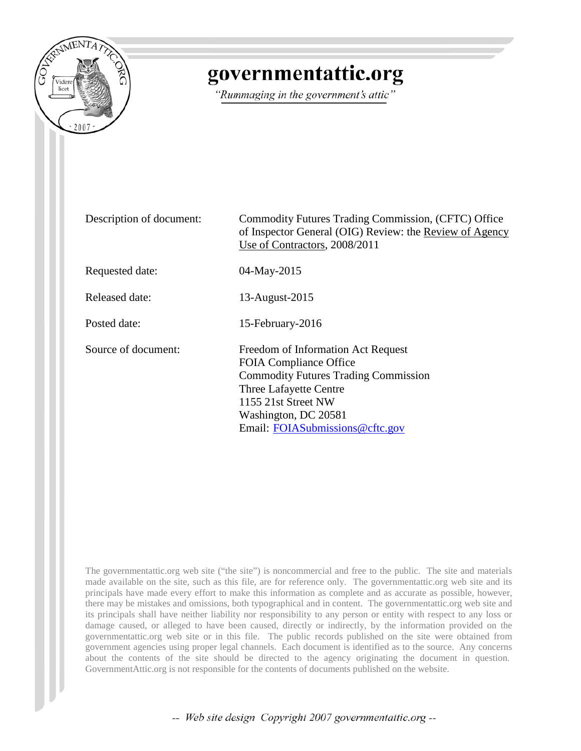

# governmentattic.org

"Rummaging in the government's attic"

| Description of document: | Commodity Futures Trading Commission, (CFTC) Office<br>of Inspector General (OIG) Review: the Review of Agency<br>Use of Contractors, 2008/2011                                                                                |
|--------------------------|--------------------------------------------------------------------------------------------------------------------------------------------------------------------------------------------------------------------------------|
| Requested date:          | 04-May-2015                                                                                                                                                                                                                    |
| Released date:           | 13-August-2015                                                                                                                                                                                                                 |
| Posted date:             | 15-February-2016                                                                                                                                                                                                               |
| Source of document:      | Freedom of Information Act Request<br><b>FOIA Compliance Office</b><br><b>Commodity Futures Trading Commission</b><br>Three Lafayette Centre<br>1155 21st Street NW<br>Washington, DC 20581<br>Email: FOIASubmissions@cftc.gov |

The governmentattic.org web site ("the site") is noncommercial and free to the public. The site and materials made available on the site, such as this file, are for reference only. The governmentattic.org web site and its principals have made every effort to make this information as complete and as accurate as possible, however, there may be mistakes and omissions, both typographical and in content. The governmentattic.org web site and its principals shall have neither liability nor responsibility to any person or entity with respect to any loss or damage caused, or alleged to have been caused, directly or indirectly, by the information provided on the governmentattic.org web site or in this file. The public records published on the site were obtained from government agencies using proper legal channels. Each document is identified as to the source. Any concerns about the contents of the site should be directed to the agency originating the document in question. GovernmentAttic.org is not responsible for the contents of documents published on the website.

-- Web site design Copyright 2007 governmentattic.org --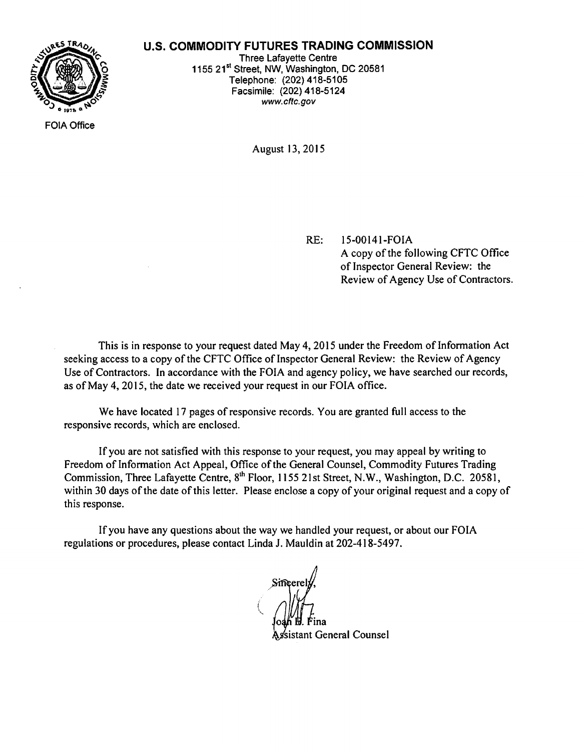#### **U.S. COMMODITY FUTURES TRADING COMMISSION**



FOIA Office

Three Lafayette Centre 1155 21<sup>st</sup> Street, NW, Washington, DC 20581 Telephone: (202) 418-5105 Facsimile: (202) 418-5124 www.cftc.gov

August 13, 2015

RE: 15-00141-FOIA

A copy of the following CFTC Office of Inspector General Review: the Review of Agency Use of Contractors.

This is in response to your request dated May 4, 2015 under the Freedom of Information Act seeking access to a copy of the CFTC Office of Inspector General Review: the Review of Agency Use of Contractors. In accordance with the FOIA and agency policy, we have searched our records, as of May 4, 2015, the date we received your request in our FOIA office.

We have located 17 pages of responsive records. You are granted full access to the responsive records, which are enclosed.

If you are not satisfied with this response to your request, you may appeal by writing to Freedom of Information Act Appeal, Office of the General Counsel, Commodity Futures Trading Commission, Three Lafayette Centre, 8<sup>th</sup> Floor, 1155 21st Street, N.W., Washington, D.C. 20581, within 30 days of the date of this letter. Please enclose a copy of your original request and a copy of this response.

If you have any questions about the way we handled your request, or about our FOIA regulations or procedures, please contact Linda J. Mauldin at 202-418-5497.

*i*   $\Delta$ oa¦h 的. Fina sistant General Counsel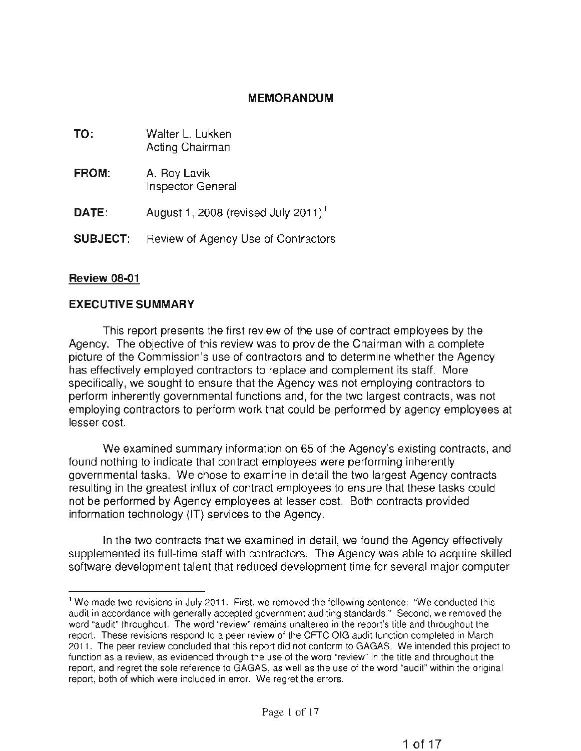#### **MEMORANDUM**

| TO:             | Walter L. Lukken<br>Acting Chairman             |
|-----------------|-------------------------------------------------|
| FROM:           | A. Roy Lavik<br>Inspector General               |
| DATE:           | August 1, 2008 (revised July 2011) <sup>1</sup> |
| <b>SUBJECT:</b> | Review of Agency Use of Contractors             |

#### **Review 08-01**

#### **EXECUTIVE SUMMARY**

This report presents the first review of the use of contract employees by the Agency. The objective of this review was to provide the Chairman with a complete picture of the Commission's use of contractors and to determine whether the Agency has effectively employed contractors to replace and complement its staff. More specifically, we sought to ensure that the Agency was not employing contractors to perform inherently governmental functions and, for the two largest contracts, was not employing contractors to perform work that could be performed by agency employees at lesser cost.

We examined summary information on 65 of the Agency's existing contracts, and found nothing to indicate that contract employees were performing inherently governmental tasks. We chose to examine in detail the two largest Agency contracts resulting in the greatest influx of contract employees to ensure that these tasks could not be performed by Agency employees at lesser cost. Both contracts provided information technology (IT) services to the Agency.

In the two contracts that we examined in detail, we found the Agency effectively supplemented its full-time staff with contractors. The Agency was able to acquire skilled software development talent that reduced development time for several major computer

<sup>&</sup>lt;sup>1</sup> We made two revisions in July 2011. First, we removed the following sentence: "We conducted this audit in accordance with generally accepted government auditing standards." Second, we removed the word "audit" throughout. The word "review" remains unaltered in the report's title and throughout the report. These revisions respond to a peer review of the CFTC OIG audit function completed in March 2011. The peer review concluded that this report did not conform to GAGAS. We intended this project to function as a review, as evidenced through the use of the word "review" in the title and throughout the report, and regret the sole reference to GAGAS, as well as the use of the word "audit" within the original report, both of which were included in error. We regret the errors.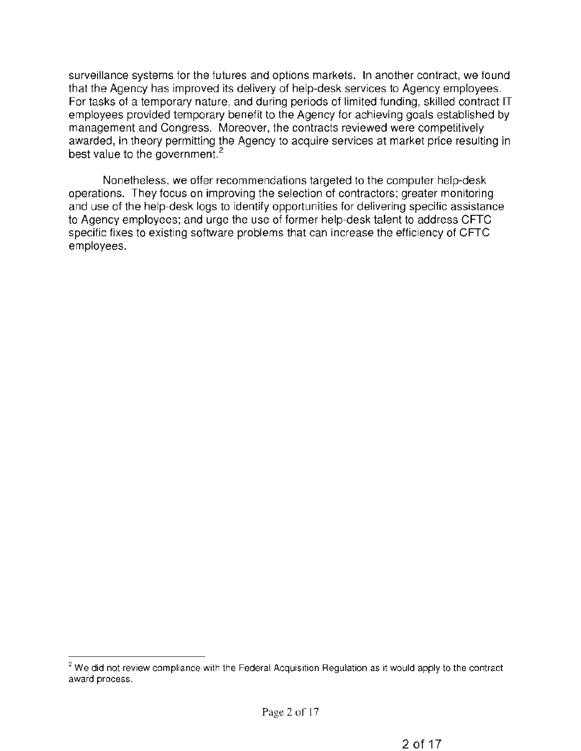surveillance systems for the futures and options markets. In another contract, we found that the Agency has improved its delivery of help-desk services to Agency employees. For tasks of a temporary nature, and during periods of limited funding, skilled contract IT employees provided temporary benefit to the Agency for achieving goals established by management and Congress. Moreover, the contracts reviewed were competitively awarded, in theory permitting the Agency to acquire services at market price resulting in best value to the government.<sup>2</sup>

Nonetheless, we offer recommendations targeted to the computer help-desk operations. They focus on improving the selection of contractors; greater monitoring and use of the help-desk logs to identify opportunities for delivering specific assistance to Agency employees; and urge the use of former help-desk talent to address CFTC specific fixes to existing software problems that can increase the efficiency of CFTC employees.

 $2$  We did not review compliance with the Federal Acquisition Regulation as it would apply to the contract award process.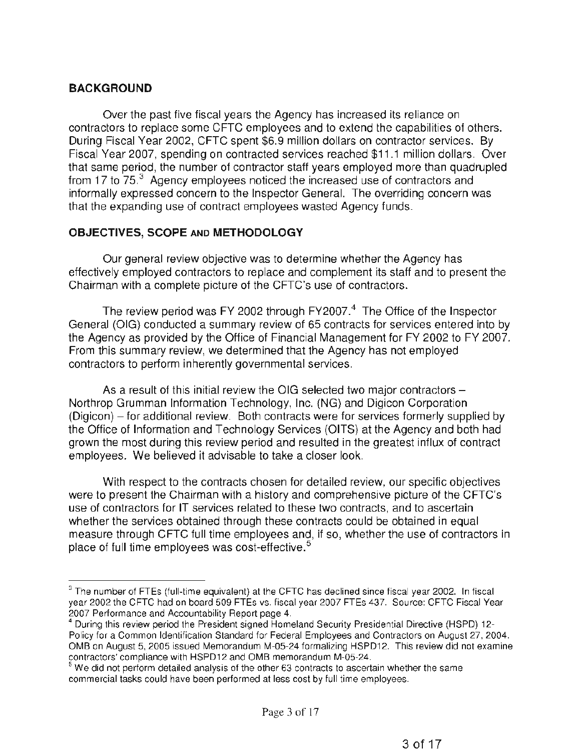## **BACKGROUND**

Over the past five fiscal years the Agency has increased its reliance on contractors to replace some CFTC employees and to extend the capabilities of others. During Fiscal Year 2002, CFTC spent \$6.9 million dollars on contractor services. By Fiscal Year 2007, spending on contracted services reached \$11.1 million dollars. Over that same period, the number of contractor staff years employed more than quadrupled from 17 to  $75<sup>3</sup>$  Agency employees noticed the increased use of contractors and informally expressed concern to the Inspector General. The overriding concern was that the expanding use of contract employees wasted Agency funds.

## **OBJECTIVES, SCOPE** AND **METHODOLOGY**

Our general review objective was to determine whether the Agency has effectively employed contractors to replace and complement its staff and to present the Chairman with a complete picture of the CFTC's use of contractors.

The review period was FY 2002 through FY2007.<sup>4</sup> The Office of the Inspector General (OIG} conducted a summary review of 65 contracts for services entered into by the Agency as provided by the Office of Financial Management for FY 2002 to FY 2007. From this summary review, we determined that the Agency has not employed contractors to perform inherently governmental services.

As a result of this initial review the OIG selected two major contractors -Northrop Grumman Information Technology, Inc. (NG) and Digicon Corporation  $(Diqicon)$  – for additional review. Both contracts were for services formerly supplied by the Office of Information and Technology Services (OITS} at the Agency and both had grown the most during this review period and resulted in the greatest influx of contract employees. We believed it advisable to take a closer look.

With respect to the contracts chosen for detailed review, our specific objectives were to present the Chairman with a history and comprehensive picture of the CFTC's use of contractors for IT services related to these two contracts, and to ascertain whether the services obtained through these contracts could be obtained in equal measure through CFTC full time employees and, if so, whether the use of contractors in place of full time employees was cost-effective.<sup>5</sup>

<sup>&</sup>lt;sup>3</sup> The number of FTEs (full-time equivalent) at the CFTC has declined since fiscal year 2002. In fiscal year 2002 the CFTC had on board 509 FTEs vs. fiscal year 2007 FTEs 437. Source: CFTC Fiscal Year 2007 Performance and Accountability Report page 4.<br><sup>4</sup> During this review period the President signed Homeland Security Presidential Directive (HSPD) 12-

Policy for a Common Identification Standard for Federal Employees and Contractors on August 27, 2004. OMB on August 5, 2005 issued Memorandum M-05-24 formalizing HSPD12. This review did not examine contractors' compliance with HSPD12 and OMB memorandum M-05-24.

 $5$  We did not perform detailed analysis of the other 63 contracts to ascertain whether the same commercial tasks could have been performed at less cost by full time employees.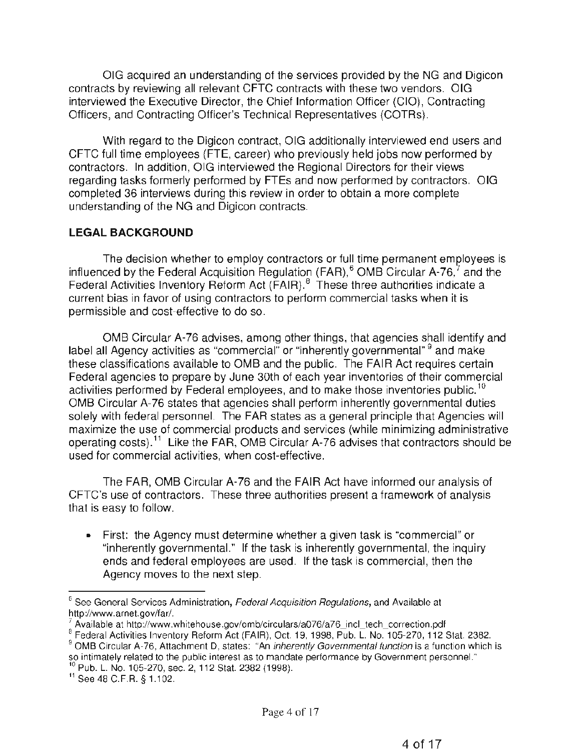OIG acquired an understanding of the services provided by the NG and Digicon contracts by reviewing all relevant CFTC contracts with these two vendors. OIG interviewed the Executive Director, the Chief Information Officer (CIO), Contracting Officers, and Contracting Officer's Technical Representatives (COTRs).

With regard to the Digicon contract, OIG additionally interviewed end users and CFTC full time employees (FTE, career) who previously held jobs now performed by contractors. In addition, OIG interviewed the Regional Directors for their views regarding tasks formerly performed by FTEs and now performed by contractors. OIG completed 36 interviews during this review in order to obtain a more complete understanding of the NG and Digicon contracts.

## **LEGAL BACKGROUND**

The decision whether to employ contractors or full time permanent employees is influenced by the Federal Acquisition Regulation (FAR),<sup>6</sup> OMB Circular A-76,<sup>7</sup> and the Federal Activities Inventory Reform Act (FAIR).<sup>8</sup> These three authorities indicate a current bias in favor of using contractors to perform commercial tasks when it is permissible and cost-effective to do so.

OMB Circular A-76 advises, among other things, that agencies shall identify and label all Agency activities as "commercial" or "inherently governmental" <sup>9</sup> and make these classifications available to OMB and the public. The FAIR Act requires certain Federal agencies to prepare by June 30th of each year inventories of their commercial activities performed by Federal employees, and to make those inventories public.<sup>10</sup> OMB Circular A-76 states that agencies shall perform inherently governmental duties solely with federal personnel. The FAR states as a general principle that Agencies will maximize the use of commercial products and services (while minimizing administrative operating costs}. 11 Like the FAR, OMB Circular A-76 advises that contractors should be used for commercial activities, when cost-effective.

The FAR, OMB Circular A-76 and the FAIR Act have informed our analysis of CFTC's use of contractors. These three authorities present a framework of analysis that is easy to follow.

• First: the Agency must determine whether a given task is "commercial" or "inherently governmental." If the task is inherently governmental, the inquiry ends and federal employees are used. If the task is commercial, then the Agency moves to the next step.

 $6$  See General Services Administration, Federal Acquisition Requiations, and Available at http://www.arnet.gov/far/.

 $\frac{7}{8}$  Available at http://www.whitehouse.gov/omb/circulars/a076/a76\_incl\_tech\_correction.pdf 8 Federal Activities Inventory Reform Act (FAIR), Oct. 19, 1998, Pub. L. No. 105-270, 112 Stat. 2382.

<sup>&</sup>lt;sup>9</sup> OMB Circular A-76, Attachment D, states: "An inherently Governmental function is a function which is so intimately related to the public interest as to mandate performance by Government personnel."<br><sup>10</sup> Pub. L. No. 105-270, sec. 2, 112 Stat. 2382 (1998).<br><sup>11</sup> See 48 C.F.R. § 1.102.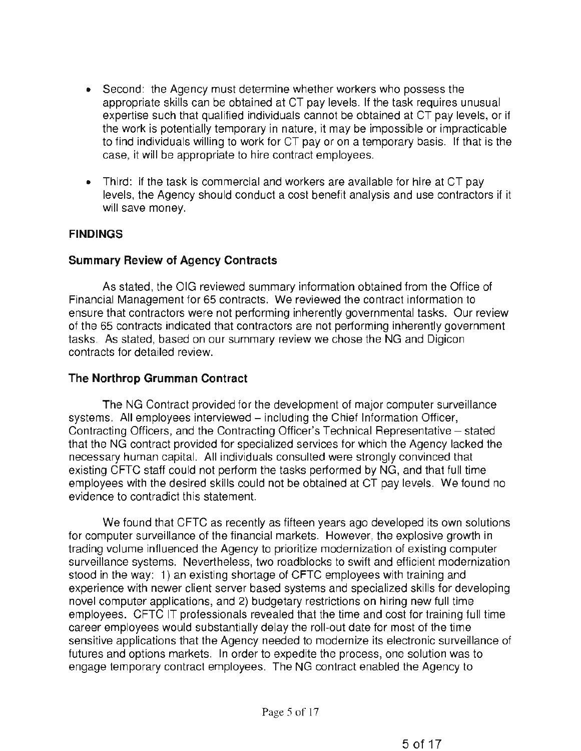- Second: the Agency must determine whether workers who possess the appropriate skills can be obtained at CT pay levels. If the task requires unusual expertise such that qualified individuals cannot be obtained at CT pay levels, or if the work is potentially temporary in nature, it may be impossible or impracticable to find individuals willing to work for CT pay or on a temporary basis. If that is the case, it will be appropriate to hire contract employees.
- Third: if the task is commercial and workers are available for hire at CT pay levels, the Agency should conduct a cost benefit analysis and use contractors if it will save money.

#### **FINDINGS**

#### Summary Review of Agency Contracts

As stated, the OIG reviewed summary information obtained from the Office of Financial Management for 65 contracts. We reviewed the contract information to ensure that contractors were not performing inherently governmental tasks. Our review of the 65 contracts indicated that contractors are not performing inherently government tasks. As stated, based on our summary review we chose the NG and Digicon contracts for detailed review.

#### The Northrop Grumman Contract

The NG Contract provided for the development of major computer surveillance systems. All employees interviewed – including the Chief Information Officer, Contracting Officers, and the Contracting Officer's Technical Representative – stated that the NG contract provided for specialized services for which the Agency lacked the necessary human capital. All individuals consulted were strongly convinced that existing CFTC staff could not perform the tasks performed by NG, and that full time employees with the desired skills could not be obtained at CT pay levels. We found no evidence to contradict this statement.

We found that CFTC as recently as fifteen years ago developed its own solutions for computer surveillance of the financial markets. However, the explosive growth in trading volume influenced the Agency to prioritize modernization of existing computer surveillance systems. Nevertheless, two roadblocks to swift and efficient modernization stood in the way: 1) an existing shortage of CFTC employees with training and experience with newer client server based systems and specialized skills for developing novel computer applications, and 2) budgetary restrictions on hiring new full time employees. CFTC IT professionals revealed that the time and cost for training full time career employees would substantially delay the roll-out date for most of the time sensitive applications that the Agency needed to modernize its electronic surveillance of futures and options markets. In order to expedite the process, one solution was to engage temporary contract employees. The NG contract enabled the Agency to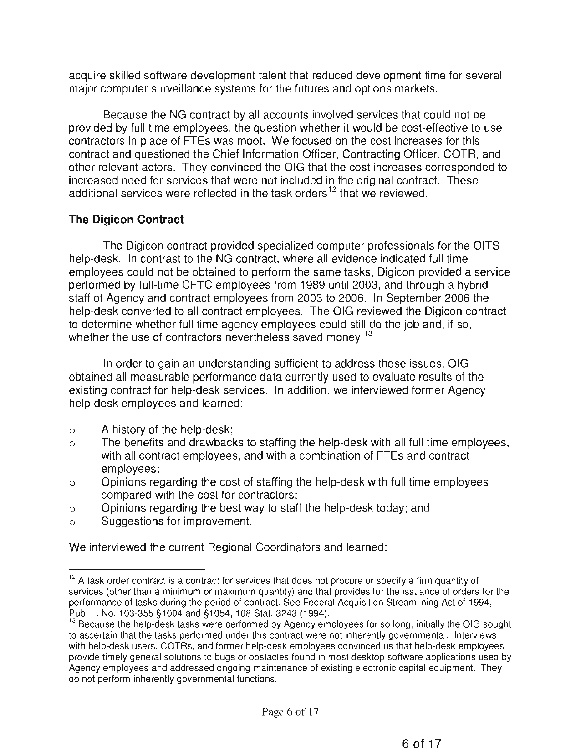acquire skilled software development talent that reduced development time for several major computer surveillance systems for the futures and options markets.

Because the NG contract by all accounts involved services that could not be provided by full time employees, the question whether it would be cost-effective to use contractors in place of FTEs was moot. We focused on the cost increases for this contract and questioned the Chief Information Officer, Contracting Officer, COTA, and other relevant actors. They convinced the OIG that the cost increases corresponded to increased need for services that were not included in the original contract. These additional services were reflected in the task orders<sup>12</sup> that we reviewed.

# **The Digicon Contract**

The Digicon contract provided specialized computer professionals for the OITS help-desk. In contrast to the NG contract, where all evidence indicated full time employees could not be obtained to perform the same tasks, Digicon provided a service performed by full-time CFTC employees from 1989 until 2003, and through a hybrid staff of Agency and contract employees from 2003 to 2006. In September 2006 the help-desk converted to all contract employees. The OIG reviewed the Digicon contract to determine whether full time agency employees could still do the job and, if so, whether the use of contractors nevertheless saved money.<sup>13</sup>

In order to gain an understanding sufficient to address these issues, OIG obtained all measurable performance data currently used to evaluate results of the existing contract for help-desk services. In addition, we interviewed former Agency help-desk employees and learned:

- o A history of the help-desk;
- o The benefits and drawbacks to staffing the help-desk with all full time employees, with all contract employees, and with a combination of FTEs and contract employees;
- o Opinions regarding the cost of staffing the help-desk with full time employees compared with the cost for contractors;
- o Opinions regarding the best way to staff the help-desk today; and
- o Suggestions for improvement.

We interviewed the current Regional Coordinators and learned:

<sup>&</sup>lt;sup>12</sup> A task order contract is a contract for services that does not procure or specify a firm quantity of services (other than a minimum or maximum quantity) and that provides for the issuance of orders for the performance of tasks during the period of contract. See Federal Acquisition Streamlining Act of 1994, Pub. L. No. 103-355 §1004 and §1054, 108 Stat. 3243 (1994).<br><sup>13</sup> Because the help-desk tasks were performed by Agency employees for so long, initially the OIG sought

to ascertain that the tasks performed under this contract were not inherently governmental. Interviews with help-desk users, COTRs, and former help-desk employees convinced us that help-desk employees provide timely general solutions to bugs or obstacles found in most desktop software applications used by Agency employees and addressed ongoing maintenance of existing electronic capital equipment. They do not perform inherently governmental functions.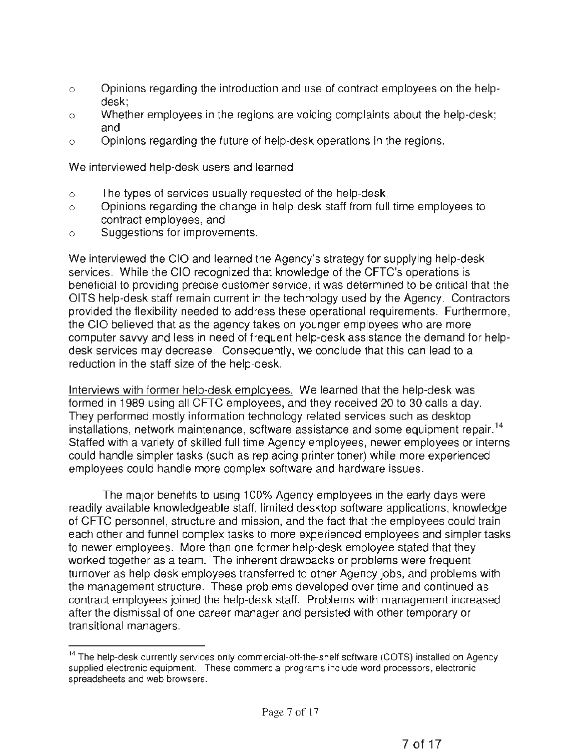- $\circ$  Opinions regarding the introduction and use of contract employees on the helpdesk;
- o Whether employees in the regions are voicing complaints about the help-desk; and
- o Opinions regarding the future of help-desk operations in the regions.

We interviewed help-desk users and learned

- o The types of services usually requested of the help-desk,
- o Opinions regarding the change in help-desk staff from full time employees to contract employees, and
- o Suggestions for improvements.

We interviewed the CIO and learned the Agency's strategy for supplying help-desk services. While the CIO recognized that knowledge of the CFTC's operations is beneficial to providing precise customer service, it was determined to be critical that the OITS help-desk staff remain current in the technology used by the Agency. Contractors provided the flexibility needed to address these operational requirements. Furthermore, the CIO believed that as the agency takes on younger employees who are more computer savvy and less in need of frequent help-desk assistance the demand for helpdesk services may decrease. Consequently, we conclude that this can lead to a reduction in the staff size of the help-desk.

Interviews with former help-desk emolovees. We learned that the help-desk was formed in 1989 using all CFTC employees, and they received 20 to 30 calls a day. They performed mostly information technology related services such as desktop installations, network maintenance, software assistance and some equipment repair. <sup>14</sup> Staffed with a variety of skilled full time Agency employees, newer employees or interns could handle simpler tasks (such as replacing printer toner) while more experienced employees could handle more complex software and hardware issues.

The major benefits to using 100% Agency employees in the early days were readily available knowledgeable staff, limited desktop software applications, knowledge of CFTC personnel, structure and mission, and the fact that the employees could train each other and funnel complex tasks to more experienced employees and simpler tasks to newer employees. More than one former help-desk employee stated that they worked together as a team. The inherent drawbacks or problems were frequent turnover as help-desk employees transferred to other Agency jobs, and problems with the management structure. These problems developed over time and continued as contract employees joined the help-desk staff. Problems with management increased after the dismissal of one career manager and persisted with other temporary or transitional managers.

<sup>&</sup>lt;sup>14</sup> The help-desk currently services only commercial-off-the-shelf software (COTS) installed on Agency supplied electronic equipment. These commercial programs include word processors, electronic spreadsheets and web browsers.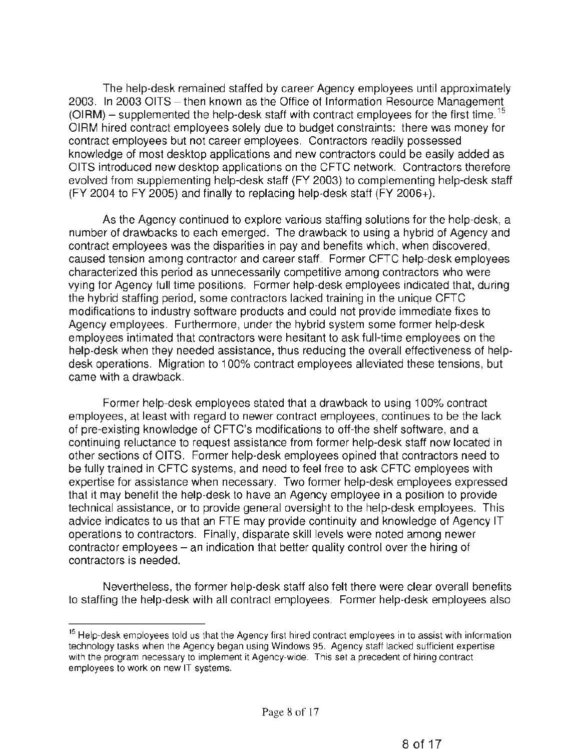The help-desk remained staffed by career Agency employees until approximately 2003. In 2003 OITS – then known as the Office of Information Resource Management  $(OIRM)$  – supplemented the help-desk staff with contract employees for the first time.<sup>15</sup> OIRM hired contract employees solely due to budget constraints: there was money for contract employees but not career employees. Contractors readily possessed knowledge of most desktop applications and new contractors could be easily added as OITS introduced new desktop applications on the CFTC network. Contractors therefore evolved from supplementing help-desk staff (FY 2003} to complementing help-desk staff (FY 2004 to FY 2005) and finally to replacing help-desk staff (FY 2006+).

As the Agency continued to explore various staffing solutions for the help-desk, a number of drawbacks to each emerged. The drawback to using a hybrid of Agency and contract employees was the disparities in pay and benefits which, when discovered, caused tension among contractor and career staff. Former CFTC help-desk employees characterized this period as unnecessarily competitive among contractors who were vying for Agency full time positions. Former help-desk employees indicated that, during the hybrid staffing period, some contractors lacked training in the unique CFTC modifications to industry software products and could not provide immediate fixes to Agency employees. Furthermore, under the hybrid system some former help-desk employees intimated that contractors were hesitant to ask full-time employees on the help-desk when they needed assistance, thus reducing the overall effectiveness of helpdesk operations. Migration to 100% contract employees alleviated these tensions, but came with a drawback.

Former help-desk employees stated that a drawback to using 100% contract employees, at least with regard to newer contract employees, continues to be the lack of pre-existing knowledge of CFTC's modifications to off-the shelf software, and a continuing reluctance to request assistance from former help-desk staff now located in other sections of OITS. Former help-desk employees opined that contractors need to be fully trained in CFTC systems, and need to feel free to ask CFTC employees with expertise for assistance when necessary. Two former help-desk employees expressed that it may benefit the help-desk to have an Agency employee in a position to provide technical assistance, or to provide general oversight to the help-desk employees. This advice indicates to us that an FTE may provide continuity and knowledge of Agency IT operations to contractors. Finally, disparate skill levels were noted among newer contractor employees  $-$  an indication that better quality control over the hiring of contractors is needed.

Nevertheless, the former help-desk staff also felt there were clear overall benefits to staffing the help-desk with all contract employees. Former help-desk employees also

<sup>&</sup>lt;sup>15</sup> Help-desk employees told us that the Agency first hired contract employees in to assist with information technology tasks when the Agency began using Windows 95. Agency staff lacked sufficient expertise with the program necessary to implement it Agency-wide. This set a precedent of hiring contract employees to work on new IT systems.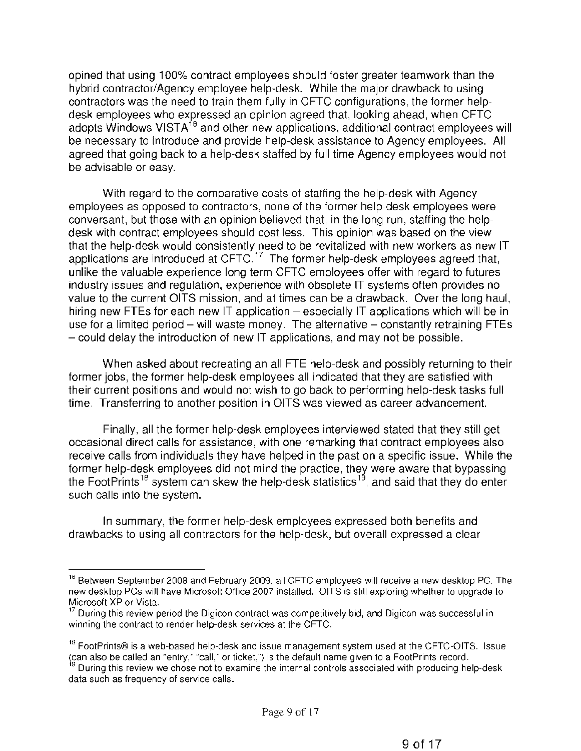opined that using 100% contract employees should foster greater teamwork than the hybrid contractor/Agency employee help-desk. While the major drawback to using contractors was the need to train them fully in CFTC configurations, the former helpdesk employees who expressed an opinion agreed that, looking ahead, when CFTC adopts Windows VIST $A^{16}$  and other new applications, additional contract employees will be necessary to introduce and provide help-desk assistance to Agency employees. All agreed that going back to a help-desk staffed by full time Agency employees would not be advisable or easy.

With regard to the comparative costs of staffing the help-desk with Agency employees as opposed to contractors, none of the former help-desk employees were conversant, but those with an opinion believed that, in the long run, staffing the helpdesk with contract employees should cost less. This opinion was based on the view that the help-desk would consistently need to be revitalized with new workers as new IT applications are introduced at CFTC.<sup>17</sup> The former help-desk employees agreed that, unlike the valuable experience long term CFTC employees offer with regard to futures industry issues and regulation, experience with obsolete IT systems often provides no value to the current OITS mission, and at times can be a drawback. Over the long haul, hiring new FTEs for each new IT application  $-$  especially IT applications which will be in use for a limited period  $-$  will waste money. The alternative  $-$  constantly retraining FTEs - could delay the introduction of new IT applications, and may not be possible.

When asked about recreating an all FTE help-desk and possibly returning to their former jobs, the former help-desk employees all indicated that they are satisfied with their current positions and would not wish to go back to performing help-desk tasks full time. Transferring to another position in OITS was viewed as career advancement.

Finally, all the former help-desk employees interviewed stated that they still get occasional direct calls for assistance, with one remarking that contract employees also receive calls from individuals they have helped in the past on a specific issue. While the former help-desk employees did not mind the practice, they were aware that bypassing the FootPrints<sup>18</sup> system can skew the help-desk statistics<sup>19</sup>, and said that they do enter such calls into the system.

In summary, the former help-desk employees expressed both benefits and drawbacks to using all contractors for the help-desk, but overall expressed a clear

<sup>&</sup>lt;sup>16</sup> Between September 2008 and February 2009, all CFTC employees will receive a new desktop PC. The new desktop PCs will have Microsoft Office 2007 installed. OITS is still exploring whether to upgrade to Microsoft XP or Vista.

 $17$  During this review period the Digicon contract was competitively bid, and Digicon was successful in winning the contract to render help-desk services at the CFTC.

<sup>&</sup>lt;sup>18</sup> FootPrints® is a web-based help-desk and issue management system used at the CFTC-OITS. Issue ~can also be called an "entry," "call," or ticket,") is the default name given to a FootPrints record.

<sup>&</sup>lt;sup>9</sup> During this review we chose not to examine the internal controls associated with producing help-desk data such as frequency of service calls.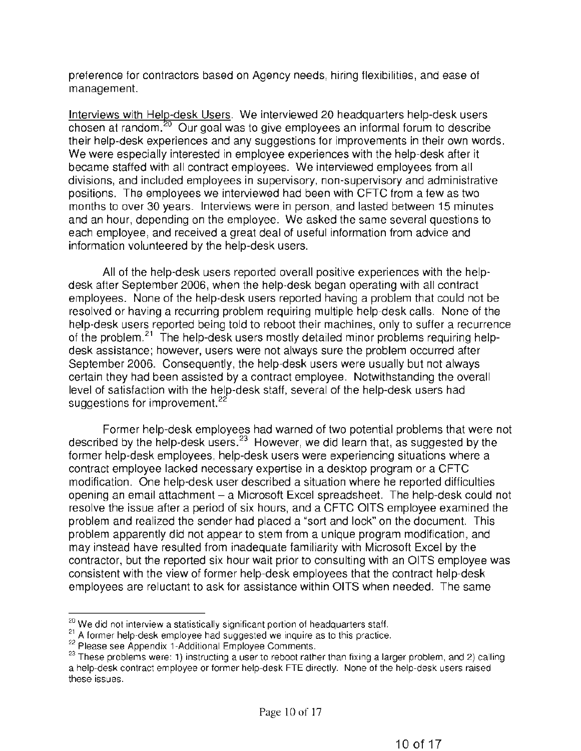preference for contractors based on Agency needs, hiring flexibilities, and ease of management.

Interviews with Helg-desk Users. We interviewed 20 headquarters help-desk users  $\overline{\text{chosen}}$  at random.<sup>20</sup> Our goal was to give employees an informal forum to describe their help-desk experiences and any suggestions for improvements in their own words. We were especially interested in employee experiences with the help-desk after it became staffed with all contract employees. We interviewed employees from all divisions, and included employees in supervisory, non-supervisory and administrative positions. The employees we interviewed had been with CFTC from a few as two months to over 30 years. Interviews were in person, and lasted between 15 minutes and an hour, depending on the employee. We asked the same several questions to each employee, and received a great deal of useful information from advice and information volunteered by the help-desk users.

All of the help-desk users reported overall positive experiences with the helpdesk after September 2006, when the help-desk began operating with all contract employees. None of the help-desk users reported having a problem that could not be resolved or having a recurring problem requiring multiple help-desk calls. None of the help-desk users reported being told to reboot their machines, only to suffer a recurrence of the problem.<sup>21</sup> The help-desk users mostly detailed minor problems requiring helpdesk assistance; however, users were not always sure the problem occurred after September 2006. Consequently, the help-desk users were usually but not always certain they had been assisted by a contract employee. Notwithstanding the overall level of satisfaction with the help-desk staff, several of the help-desk users had suggestions for improvement.<sup>22</sup>

Former help-desk employees had warned of two potential problems that were not described by the help-desk users. 23 However, we did learn that, as suggested by the former help-desk employees, help-desk users were experiencing situations where a contract employee lacked necessary expertise in a desktop program or a CFTC modification. One help-desk user described a situation where he reported difficulties opening an email attachment- a Microsoft Excel spreadsheet. The help-desk could not resolve the issue after a period of six hours, and a CFTC OITS employee examined the problem and realized the sender had placed a "sort and lock" on the document. This problem apparently did not appear to stem from a unique program modification, and may instead have resulted from inadequate familiarity with Microsoft Excel by the contractor, but the reported six hour wait prior to consulting with an OITS employee was consistent with the view of former help-desk employees that the contract help-desk employees are reluctant to ask for assistance within OITS when needed. The same

 $20$  We did not interview a statistically significant portion of headquarters staff.

<sup>21&</sup>lt;br>
<sup>21</sup> A former help-desk employee had suggested we inquire as to this practice.<br>
<sup>22</sup> Please see Appendix 1-Additional Employee Comments.

<sup>&</sup>lt;sup>23</sup> These problems were: 1) instructing a user to reboot rather than fixing a larger problem, and 2) calling a help-desk contract employee or former help-desk FTE directly. None of the help-desk users raised these issues.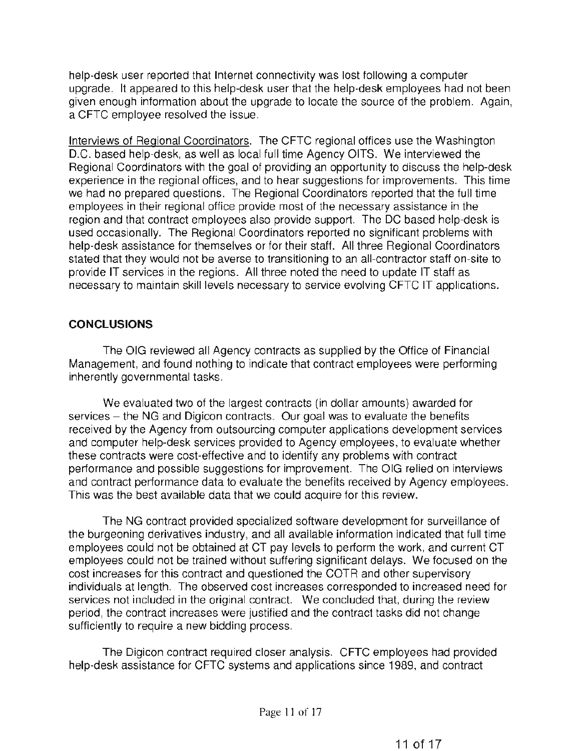help-desk user reported that Internet connectivity was lost following a computer upgrade. It appeared to this help-desk user that the help-desk employees had not been given enough information about the upgrade to locate the source of the problem. Again, a CFTC employee resolved the issue.

Interviews of Regional Coordinators. The CFTC regional offices use the Washington D.C. based help-desk, as well as local full time Agency OITS. We interviewed the Regional Coordinators with the goal of providing an opportunity to discuss the help-desk experience in the regional offices, and to hear suggestions for improvements. This time we had no prepared questions. The Regional Coordinators reported that the full time employees in their regional office provide most of the necessary assistance in the region and that contract employees also provide support. The DC based help-desk is used occasionally. The Regional Coordinators reported no significant problems with help-desk assistance for themselves or for their staff. All three Regional Coordinators stated that they would not be averse to transitioning to an all-contractor staff on-site to provide IT services in the regions. All three noted the need to update IT staff as necessary to maintain skill levels necessary to service evolving CFTC IT applications.

## **CONCLUSIONS**

The OIG reviewed all Agency contracts as supplied by the Office of Financial Management, and found nothing to indicate that contract employees were performing inherently governmental tasks.

We evaluated two of the largest contracts (in dollar amounts) awarded for services - the NG and Digicon contracts. Our goal was to evaluate the benefits received by the Agency from outsourcing computer applications development services and computer help-desk services provided to Agency employees, to evaluate whether these contracts were cost-effective and to identify any problems with contract performance and possible suggestions for improvement. The OIG relied on interviews and contract performance data to evaluate the benefits received by Agency employees. This was the best available data that we could acquire for this review.

The NG contract provided specialized software development for surveillance of the burgeoning derivatives industry, and all available information indicated that full time employees could not be obtained at CT pay levels to perform the work, and current CT employees could not be trained without suffering significant delays. We focused on the cost increases for this contract and questioned the COTR and other supervisory individuals at length. The observed cost increases corresponded to increased need for services not included in the original contract. We concluded that, during the review period, the contract increases were justified and the contract tasks did not change sufficiently to require a new bidding process.

The Digicon contract required closer analysis. CFTC employees had provided help-desk assistance for CFTC systems and applications since 1989, and contract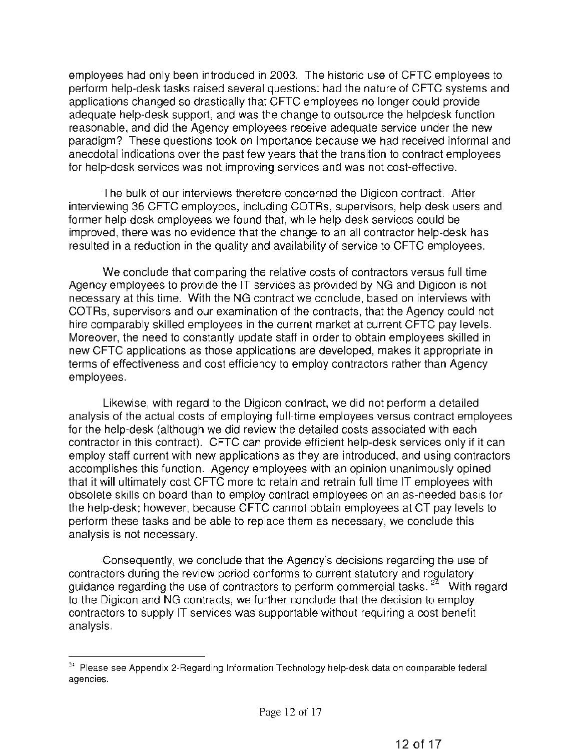employees had only been introduced in 2003. The historic use of CFTC employees to perform help-desk tasks raised several questions: had the nature of CFTC systems and applications changed so drastically that CFTC employees no longer could provide adequate help-desk support, and was the change to outsource the helpdesk function reasonable, and did the Agency employees receive adequate service under the new paradigm? These questions took on importance because we had received informal and anecdotal indications over the past few years that the transition to contract employees for help-desk services was not improving services and was not cost-effective.

The bulk of our interviews therefore concerned the Digicon contract. After interviewing 36 CFTC employees, including COTRs, supervisors, help-desk users and former help-desk employees we found that, while help-desk services could be improved, there was no evidence that the change to an all contractor help-desk has resulted in a reduction in the quality and availability of service to CFTC employees.

We conclude that comparing the relative costs of contractors versus full time Agency employees to provide the IT services as provided by NG and Digicon is not necessary at this time. With the NG contract we conclude, based on interviews with COTRs, supervisors and our examination of the contracts, that the Agency could not hire comparably skilled employees in the current market at current CFTC pay levels. Moreover, the need to constantly update staff in order to obtain employees skilled in new CFTC applications as those applications are developed, makes it appropriate in terms of effectiveness and cost efficiency to employ contractors rather than Agency employees.

Likewise, with regard to the Digicon contract, we did not perform a detailed analysis of the actual costs of employing full-time employees versus contract employees for the help-desk (although we did review the detailed costs associated with each contractor in this contract). CFTC can provide efficient help-desk services only if it can employ staff current with new applications as they are introduced, and using contractors accomplishes this function. Agency employees with an opinion unanimously opined that it will ultimately cost CFTC more to retain and retrain full time IT employees with obsolete skills on board than to employ contract employees on an as-needed basis for the help-desk; however, because CFTC cannot obtain employees at CT pay levels to perform these tasks and be able to replace them as necessary, we conclude this analysis is not necessary.

Consequently, we conclude that the Agency's decisions regarding the use of contractors during the review period conforms to current statutory and regulatory guidance regarding the use of contractors to perform commercial tasks.  $24$  With regard to the Digicon and NG contracts, we further conclude that the decision to employ contractors to supply IT services was supportable without requiring a cost benefit analysis.

 $24$  Please see Appendix 2-Regarding Information Technology help-desk data on comparable federal agencies.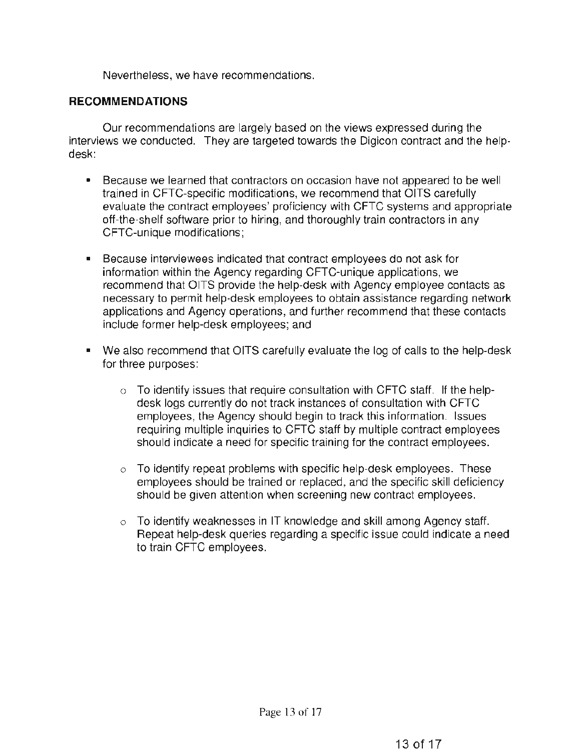Nevertheless, we have recommendations.

#### **RECOMMENDATIONS**

Our recommendations are largely based on the views expressed during the interviews we conducted. They are targeted towards the Digicon contract and the helpdesk:

- Because we learned that contractors on occasion have not appeared to be well trained in CFTC-specific modifications, we recommend that OITS carefully evaluate the contract employees' proficiency with CFTC systems and appropriate off-the-shelf software prior to hiring, and thoroughly train contractors in any CFTC-unique modifications;
- Because interviewees indicated that contract employees do not ask for information within the Agency regarding CFTC-unique applications, we recommend that OITS provide the help-desk with Agency employee contacts as necessary to permit help-desk employees to obtain assistance regarding network applications and Agency operations, and further recommend that these contacts include former help-desk employees; and
- We also recommend that OITS carefully evaluate the log of calls to the help-desk for three purposes:
	- $\circ$  To identify issues that require consultation with CFTC staff. If the helpdesk logs currently do not track instances of consultation with CFTC employees, the Agency should begin to track this information. Issues requiring multiple inquiries to CFTC staff by multiple contract employees should indicate a need for specific training for the contract employees.
	- $\circ$  To identify repeat problems with specific help-desk employees. These employees should be trained or replaced, and the specific skill deficiency should be given attention when screening new contract employees.
	- $\circ$  To identify weaknesses in IT knowledge and skill among Agency staff. Repeat help-desk queries regarding a specific issue could indicate a need to train CFTC employees.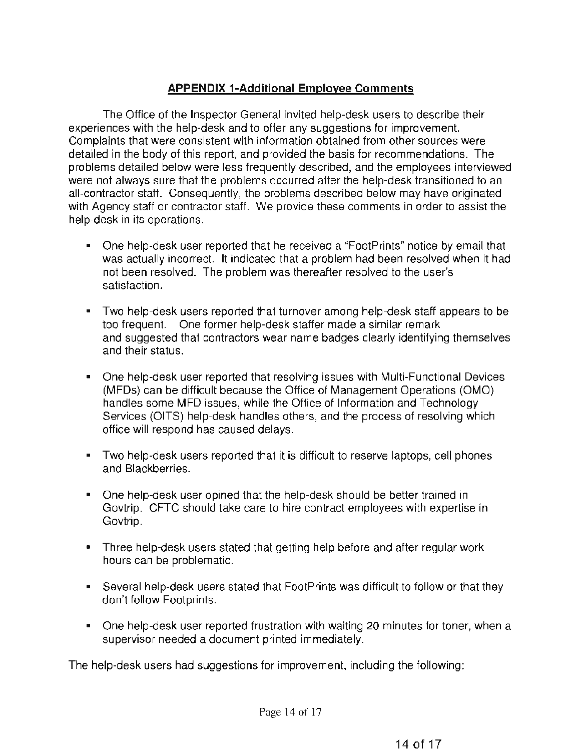# **APPENDIX 1-Additional Employee Comments**

The Office of the Inspector General invited help-desk users to describe their experiences with the help-desk and to offer any suggestions for improvement. Complaints that were consistent with information obtained from other sources were detailed in the body of this report, and provided the basis for recommendations. The problems detailed below were less frequently described, and the employees interviewed were not always sure that the problems occurred after the help-desk transitioned to an all-contractor staff. Consequently, the problems described below may have originated with Agency staff or contractor staff. We provide these comments in order to assist the help-desk in its operations.

- One help-desk user reported that he received a "FootPrints" notice by email that was actually incorrect. It indicated that a problem had been resolved when it had not been resolved. The problem was thereafter resolved to the user's satisfaction.
- Two help-desk users reported that turnover among help-desk staff appears to be too frequent. One former help-desk staffer made a similar remark and suggested that contractors wear name badges clearly identifying themselves and their status.
- One help-desk user reported that resolving issues with Multi-Functional Devices (MFDs) can be difficult because the Office of Management Operations (OMO) handles some MFD issues, while the Office of Information and Technology Services (OITS) help-desk handles others, and the process of resolving which office will respond has caused delays.
- Two help-desk users reported that it is difficult to reserve laptops, cell phones and Blackberries.
- One help-desk user opined that the help-desk should be better trained in Govtrip. CFTC should take care to hire contract employees with expertise in Govtrip.
- Three help-desk users stated that getting help before and after regular work hours can be problematic.
- Several help-desk users stated that FootPrints was difficult to follow or that they don't follow Footprints.
- One help-desk user reported frustration with waiting 20 minutes for toner, when a supervisor needed a document printed immediately.

The help-desk users had suggestions for improvement, including the following: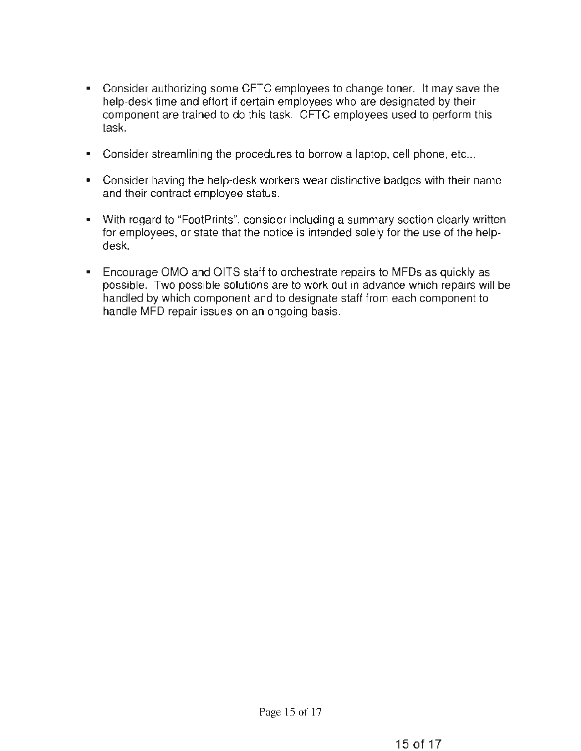- Consider authorizing some CFTC employees to change toner. It may save the help-desk time and effort if certain employees who are designated by their component are trained to do this task. CFTC employees used to perform this task.
- Consider streamlining the procedures to borrow a laptop, cell phone, etc...
- Consider having the help-desk workers wear distinctive badges with their name and their contract employee status.
- With regard to "FootPrints", consider including a summary section clearly written for employees, or state that the notice is intended solely for the use of the helpdesk.
- Encourage OMO and OITS staff to orchestrate repairs to MFDs as quickly as possible. Two possible solutions are to work out in advance which repairs will be handled by which component and to designate staff from each component to handle MFD repair issues on an ongoing basis.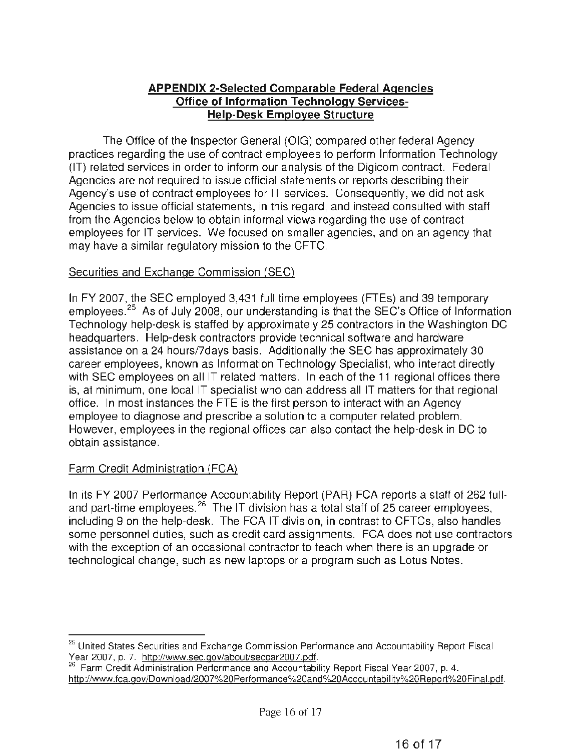## APPENDIX 2-Selected Comparable Federal Agencies Office of Information Technology Services-Help-Desk Employee Structure

The Office of the Inspector General (OIG) compared other federal Agency practices regarding the use of contract employees to perform Information Technology (IT) related services in order to inform our analysis of the Digicom contract. Federal Agencies are not required to issue official statements or reports describing their Agency's use of contract employees for IT services. Consequently, we did not ask Agencies to issue official statements, in this regard, and instead consulted with staff from the Agencies below to obtain informal views regarding the use of contract employees for IT services. We focused on smaller agencies, and on an agency that may have a similar regulatory mission to the CFTC.

## Securities and Exchange Commission (SEC)

In FY 2007, the SEC employed 3,431 full time employees (FTEs) and 39 temporary employees.<sup>25</sup> As of July 2008, our understanding is that the SEC's Office of Information Technology help-desk is staffed by approximately 25 contractors in the Washington DC headquarters. Help-desk contractors provide technical software and hardware assistance on a 24 hours/7days basis. Additionally the SEC has approximately 30 career employees, known as Information Technology Specialist, who interact directly with SEC employees on all IT related matters. In each of the 11 regional offices there is, at minimum, one local IT specialist who can address all IT matters for that regional office. In most instances the FTE is the first person to interact with an Agency employee to diagnose and prescribe a solution to a computer related problem. However, employees in the regional offices can also contact the help-desk in DC to obtain assistance.

# Farm Credit Administration (FCA)

In its FY 2007 Performance Accountability Report (PAR} FCA reports a staff of 262 fulland part-time employees.<sup>26</sup> The IT division has a total staff of 25 career employees, including 9 on the help-desk. The FCA IT division, in contrast to CFTCs, also handles some personnel duties, such as credit card assignments. FCA does not use contractors with the exception of an occasional contractor to teach when there is an upgrade or technological change, such as new laptops or a program such as Lotus Notes.

<sup>&</sup>lt;sup>25</sup> United States Securities and Exchange Commission Performance and Accountability Report Fiscal<br>Year 2007, p. 7. http://www.sec.gov/about/secpar2007.pdf.

Year 2007, p. 7. http://www.sec.gov/about/secretives.gov/about/sec.gov/about/security Report Fiscal Year 2007, p. 4. http://www.fca.gov/Download/2007%20Performance%20and%20Accountability%20Report%20Final.pdf.